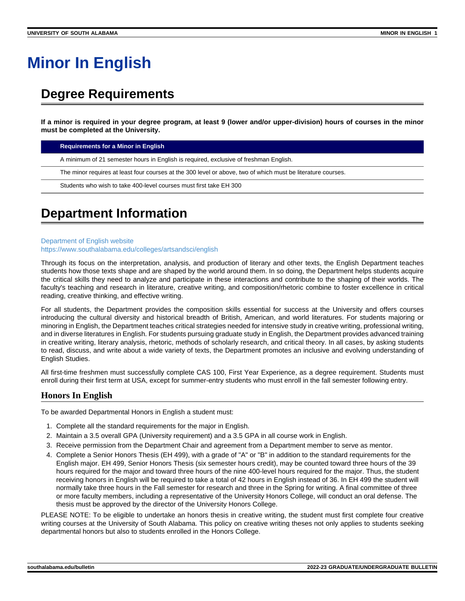# **Minor In English**

# **Degree Requirements**

**If a minor is required in your degree program, at least 9 (lower and/or upper-division) hours of courses in the minor must be completed at the University.**

**Requirements for a Minor in English** 

A minimum of 21 semester hours in English is required, exclusive of freshman English.

The minor requires at least four courses at the 300 level or above, two of which must be literature courses.

Students who wish to take 400-level courses must first take EH 300

## **Department Information**

#### [Department of English website](https://www.southalabama.edu/colleges/artsandsci/english) <https://www.southalabama.edu/colleges/artsandsci/english>

Through its focus on the interpretation, analysis, and production of literary and other texts, the English Department teaches students how those texts shape and are shaped by the world around them. In so doing, the Department helps students acquire the critical skills they need to analyze and participate in these interactions and contribute to the shaping of their worlds. The faculty's teaching and research in literature, creative writing, and composition/rhetoric combine to foster excellence in critical reading, creative thinking, and effective writing.

For all students, the Department provides the composition skills essential for success at the University and offers courses introducing the cultural diversity and historical breadth of British, American, and world literatures. For students majoring or minoring in English, the Department teaches critical strategies needed for intensive study in creative writing, professional writing, and in diverse literatures in English. For students pursuing graduate study in English, the Department provides advanced training in creative writing, literary analysis, rhetoric, methods of scholarly research, and critical theory. In all cases, by asking students to read, discuss, and write about a wide variety of texts, the Department promotes an inclusive and evolving understanding of English Studies.

All first-time freshmen must successfully complete CAS 100, First Year Experience, as a degree requirement. Students must enroll during their first term at USA, except for summer-entry students who must enroll in the fall semester following entry.

### **Honors In English**

To be awarded Departmental Honors in English a student must:

- 1. Complete all the standard requirements for the major in English.
- 2. Maintain a 3.5 overall GPA (University requirement) and a 3.5 GPA in all course work in English.
- 3. Receive permission from the Department Chair and agreement from a Department member to serve as mentor.
- 4. Complete a Senior Honors Thesis (EH 499), with a grade of "A" or "B" in addition to the standard requirements for the English major. EH 499, Senior Honors Thesis (six semester hours credit), may be counted toward three hours of the 39 hours required for the major and toward three hours of the nine 400-level hours required for the major. Thus, the student receiving honors in English will be required to take a total of 42 hours in English instead of 36. In EH 499 the student will normally take three hours in the Fall semester for research and three in the Spring for writing. A final committee of three or more faculty members, including a representative of the University Honors College, will conduct an oral defense. The thesis must be approved by the director of the University Honors College.

PLEASE NOTE: To be eligible to undertake an honors thesis in creative writing, the student must first complete four creative writing courses at the University of South Alabama. This policy on creative writing theses not only applies to students seeking departmental honors but also to students enrolled in the Honors College.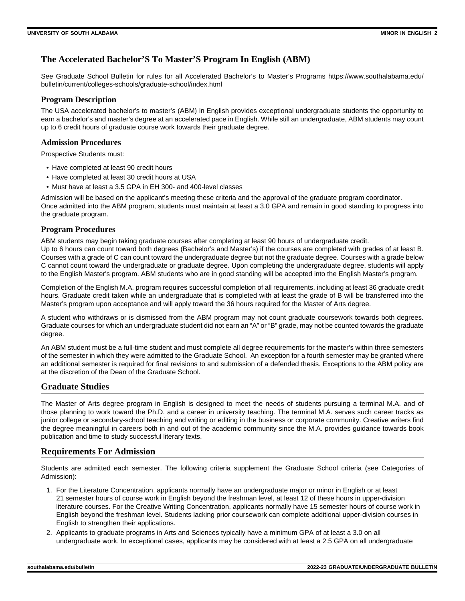### **The Accelerated Bachelor'S To Master'S Program In English (ABM)**

See Graduate School Bulletin for rules for all Accelerated Bachelor's to Master's Programs https://www.southalabama.edu/ bulletin/current/colleges-schools/graduate-school/index.html

#### **Program Description**

The USA accelerated bachelor's to master's (ABM) in English provides exceptional undergraduate students the opportunity to earn a bachelor's and master's degree at an accelerated pace in English. While still an undergraduate, ABM students may count up to 6 credit hours of graduate course work towards their graduate degree.

#### **Admission Procedures**

Prospective Students must:

- Have completed at least 90 credit hours
- Have completed at least 30 credit hours at USA
- Must have at least a 3.5 GPA in EH 300- and 400-level classes

Admission will be based on the applicant's meeting these criteria and the approval of the graduate program coordinator. Once admitted into the ABM program, students must maintain at least a 3.0 GPA and remain in good standing to progress into the graduate program.

#### **Program Procedures**

ABM students may begin taking graduate courses after completing at least 90 hours of undergraduate credit. Up to 6 hours can count toward both degrees (Bachelor's and Master's) if the courses are completed with grades of at least B. Courses with a grade of C can count toward the undergraduate degree but not the graduate degree. Courses with a grade below C cannot count toward the undergraduate or graduate degree. Upon completing the undergraduate degree, students will apply to the English Master's program. ABM students who are in good standing will be accepted into the English Master's program.

Completion of the English M.A. program requires successful completion of all requirements, including at least 36 graduate credit hours. Graduate credit taken while an undergraduate that is completed with at least the grade of B will be transferred into the Master's program upon acceptance and will apply toward the 36 hours required for the Master of Arts degree.

A student who withdraws or is dismissed from the ABM program may not count graduate coursework towards both degrees. Graduate courses for which an undergraduate student did not earn an "A" or "B" grade, may not be counted towards the graduate degree.

An ABM student must be a full-time student and must complete all degree requirements for the master's within three semesters of the semester in which they were admitted to the Graduate School. An exception for a fourth semester may be granted where an additional semester is required for final revisions to and submission of a defended thesis. Exceptions to the ABM policy are at the discretion of the Dean of the Graduate School.

#### **Graduate Studies**

The Master of Arts degree program in English is designed to meet the needs of students pursuing a terminal M.A. and of those planning to work toward the Ph.D. and a career in university teaching. The terminal M.A. serves such career tracks as junior college or secondary-school teaching and writing or editing in the business or corporate community. Creative writers find the degree meaningful in careers both in and out of the academic community since the M.A. provides guidance towards book publication and time to study successful literary texts.

#### **Requirements For Admission**

Students are admitted each semester. The following criteria supplement the Graduate School criteria (see Categories of Admission):

- 1. For the Literature Concentration, applicants normally have an undergraduate major or minor in English or at least 21 semester hours of course work in English beyond the freshman level, at least 12 of these hours in upper-division literature courses. For the Creative Writing Concentration, applicants normally have 15 semester hours of course work in English beyond the freshman level. Students lacking prior coursework can complete additional upper-division courses in English to strengthen their applications.
- 2. Applicants to graduate programs in Arts and Sciences typically have a minimum GPA of at least a 3.0 on all undergraduate work. In exceptional cases, applicants may be considered with at least a 2.5 GPA on all undergraduate